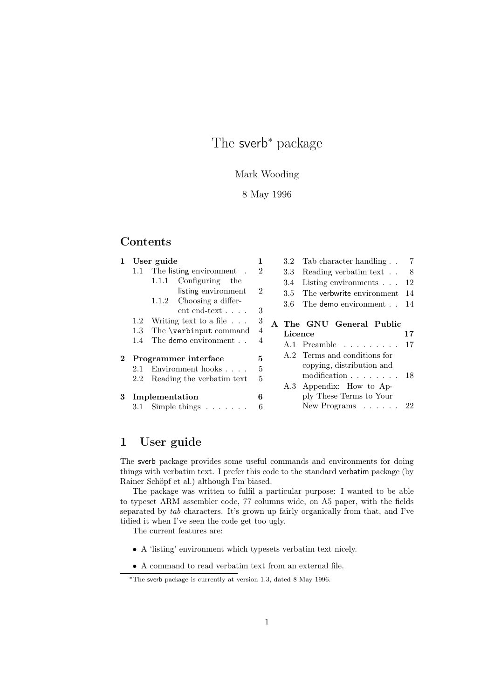# The sverb<sup>\*</sup> package

# Mark Wooding

# 8 May 1996

# Contents

|   |         | 1 User guide                                            | 1              |         | 3.2 Tab character handling 7                                 |
|---|---------|---------------------------------------------------------|----------------|---------|--------------------------------------------------------------|
|   |         | 1.1 The listing environment.                            | $\overline{2}$ | 3.3     | Reading verbatim text 8                                      |
|   |         | 1.1.1 Configuring the                                   |                | 3.4     | Listing environments $\ldots$ 12                             |
|   |         | listing environment                                     | $\overline{2}$ | 3.5     | The verbwrite environment<br>-14                             |
|   |         | $1.1.2$ Choosing a differ-<br>$ent$ end-text $\ldots$ . | 3              | 3.6     | The demo environment 14                                      |
|   |         | 1.2 Writing text to a file $\ldots$                     | 3              |         | A The GNU General Public                                     |
|   | 1.3     | The \verbinput command                                  | 4              | Licence | 17                                                           |
|   | 1.4     | The demo environment                                    | 4              |         | A.1 Preamble                                                 |
|   |         | 2 Programmer interface<br>2.1 Environment hooks         | 5<br>5         |         | A.2 Terms and conditions for<br>copying, distribution and    |
|   | $2.2\,$ | Reading the verbatim text                               | 5              |         | modification<br>-18<br>A.3 Appendix: How to Ap-              |
| 3 |         | Implementation<br>3.1 Simple things $\dots \dots$       | 6<br>6         |         | ply These Terms to Your<br>New Programs $\ldots$ $\ldots$ 22 |

# 1 User guide

The sverb package provides some useful commands and environments for doing things with verbatim text. I prefer this code to the standard verbatim package (by Rainer Schöpf et al.) although I'm biased.

The package was written to fulfil a particular purpose: I wanted to be able to typeset ARM assembler code, 77 columns wide, on A5 paper, with the fields separated by *tab* characters. It's grown up fairly organically from that, and I've tidied it when I've seen the code get too ugly.

The current features are:

- A 'listing' environment which typesets verbatim text nicely.
- $\bullet\,$  A command to read verbatim text from an external file.

<sup>∗</sup>The sverb package is currently at version 1.3, dated 8 May 1996.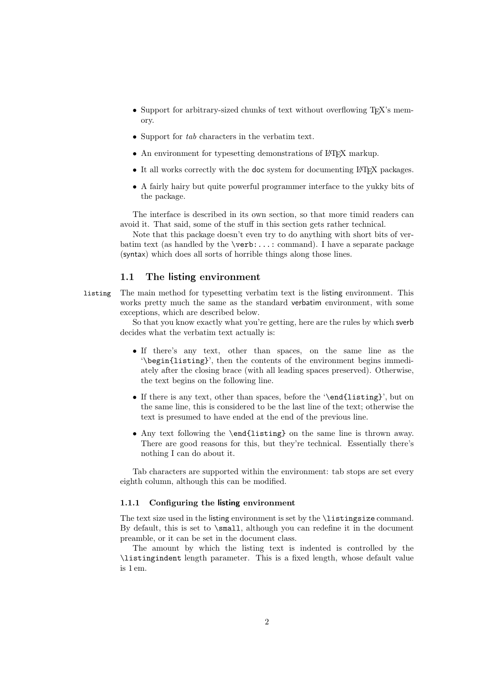- Support for arbitrary-sized chunks of text without overflowing T<sub>E</sub>X's memory.
- Support for *tab* characters in the verbatim text.
- An environment for typesetting demonstrations of LAT<sub>EX</sub> markup.
- It all works correctly with the doc system for documenting LAT<sub>EX</sub> packages.
- A fairly hairy but quite powerful programmer interface to the yukky bits of the package.

The interface is described in its own section, so that more timid readers can avoid it. That said, some of the stuff in this section gets rather technical.

Note that this package doesn't even try to do anything with short bits of verbatim text (as handled by the \verb:...: command). I have a separate package (syntax) which does all sorts of horrible things along those lines.

## 1.1 The listing environment

listing The main method for typesetting verbatim text is the listing environment. This works pretty much the same as the standard verbatim environment, with some exceptions, which are described below.

> So that you know exactly what you're getting, here are the rules by which sverb decides what the verbatim text actually is:

- If there's any text, other than spaces, on the same line as the '\begin{listing}', then the contents of the environment begins immediately after the closing brace (with all leading spaces preserved). Otherwise, the text begins on the following line.
- If there is any text, other than spaces, before the '\end{listing}', but on the same line, this is considered to be the last line of the text; otherwise the text is presumed to have ended at the end of the previous line.
- Any text following the \end{listing} on the same line is thrown away. There are good reasons for this, but they're technical. Essentially there's nothing I can do about it.

Tab characters are supported within the environment: tab stops are set every eighth column, although this can be modified.

#### 1.1.1 Configuring the listing environment

The text size used in the listing environment is set by the \listingsize command. By default, this is set to \small, although you can redefine it in the document preamble, or it can be set in the document class.

The amount by which the listing text is indented is controlled by the \listingindent length parameter. This is a fixed length, whose default value is 1 em.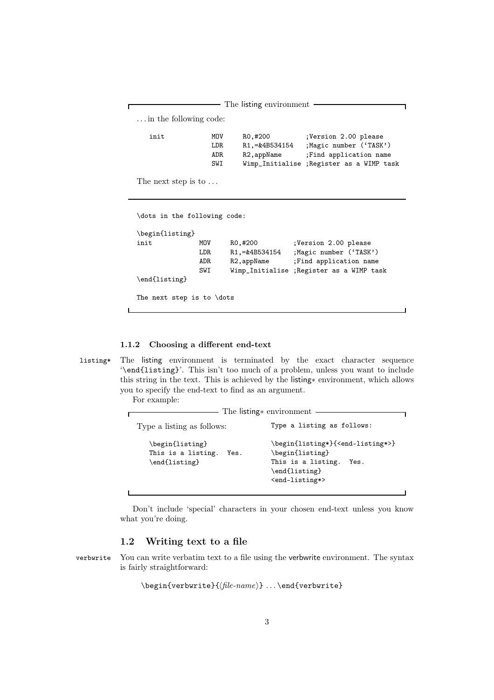- The listing environment . . . in the following code: init MOV RO,#200 ;Version 2.00 please LDR R1,=&4B534154 ;Magic number ('TASK') ADR R2, appName ; Find application name<br>SWI Wimp\_Initialise ; Register as a WIMP ta Wimp\_Initialise ; Register as a WIMP task

The next step is to ...

\dots in the following code:

```
\begin{listing}
init MOV RO,#200 ;Version 2.00 please
             LDR R1,=&4B534154 ;Magic number ('TASK')
             ADR R2, appName ; Find application name
             SWI Wimp_Initialise ;Register as a WIMP task
\end{listing}
The next step is to \dots
```
1.1.2 Choosing a different end-text

listing\* The listing environment is terminated by the exact character sequence '\end{listing}'. This isn't too much of a problem, unless you want to include this string in the text. This is achieved by the listing∗ environment, which allows you to specify the end-text to find as an argument.

For example:

| The listing * environment                                      |                                                                                                                                                          |  |  |
|----------------------------------------------------------------|----------------------------------------------------------------------------------------------------------------------------------------------------------|--|--|
| Type a listing as follows:                                     | Type a listing as follows:                                                                                                                               |  |  |
| \begin{listing}<br>This is a listing.<br>Yes.<br>\end{listing} | \begin{listing*}{ <end-listing*>}<br/>\begin{listing}<br/>This is a listing.<br/>Yes.<br/>\end{listing}<br/><end-listing*></end-listing*></end-listing*> |  |  |

Don't include 'special' characters in your chosen end-text unless you know what you're doing.

# 1.2 Writing text to a file

verbwrite You can write verbatim text to a file using the verbwrite environment. The syntax is fairly straightforward:

\begin{verbwrite}{*file-name*} ... \end{verbwrite}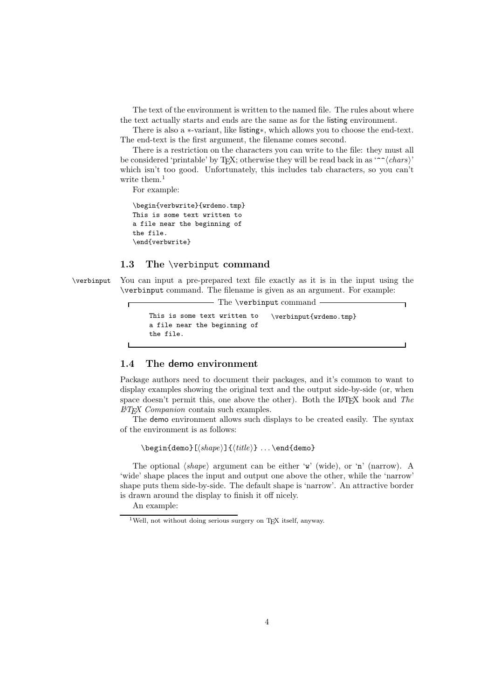The text of the environment is written to the named file. The rules about where the text actually starts and ends are the same as for the listing environment.

There is also a ∗-variant, like listing∗, which allows you to choose the end-text. The end-text is the first argument, the filename comes second.

There is a restriction on the characters you can write to the file: they must all be considered 'printable' by TEX; otherwise they will be read back in as '^^*{chars*}' which isn't too good. Unfortunately, this includes tab characters, so you can't write them. $<sup>1</sup>$ </sup>

For example:

\begin{verbwrite}{wrdemo.tmp} This is some text written to a file near the beginning of the file. \end{verbwrite}

#### 1.3 The \verbinput command

Г

\verbinput You can input a pre-prepared text file exactly as it is in the input using the \verbinput command. The filename is given as an argument. For example:

- The \verbinput command

```
This is some text written to
a file near the beginning of
the file.
                                \verbinput{wrdemo.tmp}
```
# 1.4 The demo environment

Package authors need to document their packages, and it's common to want to display examples showing the original text and the output side-by-side (or, when space doesn't permit this, one above the other). Both the L<sup>AT</sup>FX book and *The LATEX Companion* contain such examples.

The demo environment allows such displays to be created easily. The syntax of the environment is as follows:

\begin{demo}[*shape*]{*title*} ... \end{demo}

The optional  $\langle shape \rangle$  argument can be either 'w' (wide), or 'n' (narrow). A 'wide' shape places the input and output one above the other, while the 'narrow' shape puts them side-by-side. The default shape is 'narrow'. An attractive border is drawn around the display to finish it off nicely.

An example:

<sup>&</sup>lt;sup>1</sup>Well, not without doing serious surgery on T<sub>E</sub>X itself, anyway.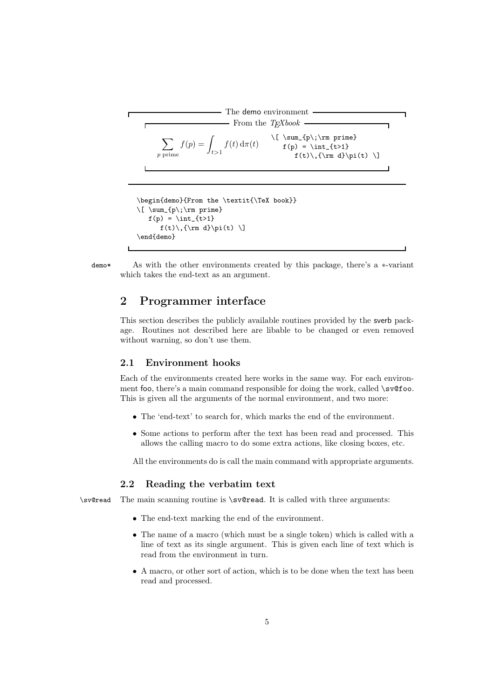The demo environment\nFrom the 
$$
T_{E}\X
$$
book\n
$$
\sum_{p \text{ prime}} f(p) = \int_{t>1} f(t) \, d\pi(t) \qquad \qquad \text{if (p) = \int_{t>1} f(t) \cdot \int_{t>1} f(t) \cdot \int_{\mathbf{m}} d\pi(t) \cdot \int_{\mathbf{m}} d\pi(t) \cdot \int_{\mathbf{m}} d\pi(t) \cdot \int_{\mathbf{m}} d\pi(t) \cdot \int_{\mathbf{m}} d\pi(t) \cdot \int_{\mathbf{m}} d\pi(t) \cdot \int_{\mathbf{m}} d\pi(t) \cdot \int_{\mathbf{m}} d\pi(t) \cdot \int_{\mathbf{m}} d\pi(t) \cdot \int_{\mathbf{m}} d\pi(t) \cdot \int_{\mathbf{m}} d\pi(t) \cdot \int_{\mathbf{m}} d\pi(t) \cdot \int_{\mathbf{m}} d\pi(t) \cdot \int_{\mathbf{m}} d\pi(t) \cdot \int_{\mathbf{m}} d\pi(t) \cdot \int_{\mathbf{m}} d\pi(t) \cdot \int_{\mathbf{m}} d\pi(t) \cdot \int_{\mathbf{m}} d\pi(t) \cdot \int_{\mathbf{m}} d\pi(t) \cdot \int_{\mathbf{m}} d\pi(t) \cdot \int_{\mathbf{m}} d\pi(t) \cdot \int_{\mathbf{m}} d\pi(t) \cdot \int_{\mathbf{m}} d\pi(t) \cdot \int_{\mathbf{m}} d\pi(t) \cdot \int_{\mathbf{m}} d\pi(t) \cdot \int_{\mathbf{m}} d\pi(t) \cdot \int_{\mathbf{m}} d\pi(t) \cdot \int_{\mathbf{m}} d\pi(t) \cdot \int_{\mathbf{m}} d\pi(t) \cdot \int_{\mathbf{m}} d\pi(t) \cdot \int_{\mathbf{m}} d\pi(t) \cdot \int_{\mathbf{m}} d\pi(t) \cdot \int_{\mathbf{m}} d\pi(t) \cdot \int_{\mathbf{m}} d\pi(t) \cdot \int_{\mathbf{m}} d\pi(t) \cdot \int_{\mathbf{m}} d\pi(t) \cdot \int_{\mathbf{m}} d\pi(t) \cdot \int_{\mathbf{m}} d\pi(t) \cdot \int_{\mathbf{m}} d\pi(t) \cdot \int_{\mathbf{m}} d\pi(t) \cdot \int_{\mathbf{m}} d\pi(t) \cdot \int_{\mathbf{m}} d\
$$

```
\begin{demo}{From the \textit{\TeX book}}
\[ \sum_{p\;\rm prime}
   f(p) = \int_{t>1}f(t)\backslash, {\rm d}\pi(t) \]
\end{demo}
```
 $\mathbf{I}$ 

demo\* As with the other environments created by this package, there's a ∗-variant which takes the end-text as an argument.

# 2 Programmer interface

This section describes the publicly available routines provided by the sverb package. Routines not described here are libable to be changed or even removed without warning, so don't use them.

# 2.1 Environment hooks

Each of the environments created here works in the same way. For each environment foo, there's a main command responsible for doing the work, called \sv@foo. This is given all the arguments of the normal environment, and two more:

- The 'end-text' to search for, which marks the end of the environment.
- Some actions to perform after the text has been read and processed. This allows the calling macro to do some extra actions, like closing boxes, etc.

All the environments do is call the main command with appropriate arguments.

### 2.2 Reading the verbatim text

\sv@read The main scanning routine is \sv@read. It is called with three arguments:

- The end-text marking the end of the environment.
- The name of a macro (which must be a single token) which is called with a line of text as its single argument. This is given each line of text which is read from the environment in turn.
- A macro, or other sort of action, which is to be done when the text has been read and processed.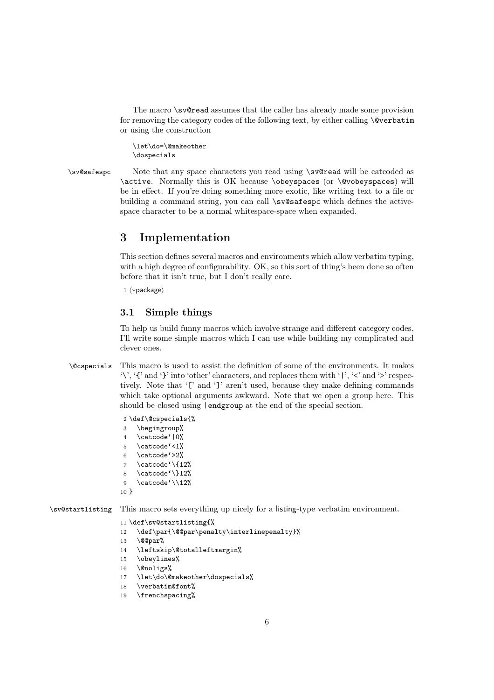The macro \sv@read assumes that the caller has already made some provision for removing the category codes of the following text, by either calling \@verbatim or using the construction

\let\do=\@makeother \dospecials

\sv@safespc Note that any space characters you read using \sv@read will be catcoded as \active. Normally this is OK because \obeyspaces (or \@vobeyspaces) will be in effect. If you're doing something more exotic, like writing text to a file or building a command string, you can call \sv@safespc which defines the activespace character to be a normal whitespace-space when expanded.

# 3 Implementation

This section defines several macros and environments which allow verbatim typing, with a high degree of configurability. OK, so this sort of thing's been done so often before that it isn't true, but I don't really care.

 $1 \langle * \text{package} \rangle$ 

#### 3.1 Simple things

To help us build funny macros which involve strange and different category codes, I'll write some simple macros which I can use while building my complicated and clever ones.

\@cspecials This macro is used to assist the definition of some of the environments. It makes  $\forall$ , '{' and '}' into 'other' characters, and replaces them with '|', ' $\leq$ ' and '>' respectively. Note that '[' and ']' aren't used, because they make defining commands which take optional arguments awkward. Note that we open a group here. This should be closed using |endgroup at the end of the special section.

```
2 \def\@cspecials{%
3 \begingroup%
4 \catcode'|0%
5 \catcode'<1%
6 \ \ \ \ \ \ \ \ \7 \catcode\{12\}8 \catcode'\}12%
9 \catcode\sqrt{12\%}10 }
```
\sv@startlisting This macro sets everything up nicely for a listing-type verbatim environment.

11 \def\sv@startlisting{%

- 12 \def\par{\@@par\penalty\interlinepenalty}%
- 13 \@@par%
- 14 \leftskip\@totalleftmargin%
- 15 \obeylines%
- 16 \@noligs%
- 17 \let\do\@makeother\dospecials%
- 18 \verbatim@font%
- 19 \frenchspacing%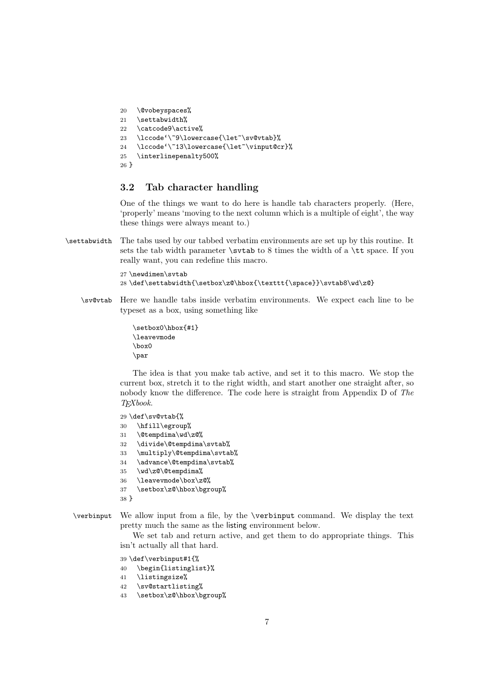```
20 \@vobeyspaces%
21 \settabwidth%
22 \catcode9\active%
23 \lccode'\~9\lowercase{\let~\sv@vtab}%
24 \lccode'\~13\lowercase{\let~\vinput@cr}%
25 \interlinepenalty500%
26 }
```
### 3.2 Tab character handling

One of the things we want to do here is handle tab characters properly. (Here, 'properly' means 'moving to the next column which is a multiple of eight', the way these things were always meant to.)

\settabwidth The tabs used by our tabbed verbatim environments are set up by this routine. It sets the tab width parameter  $\s$ tvtab to 8 times the width of a  $\tt \t$  space. If you really want, you can redefine this macro.

#### 27 \newdimen\svtab 28 \def\settabwidth{\setbox\z@\hbox{\texttt{\space}}\svtab8\wd\z@}

\sv@vtab Here we handle tabs inside verbatim environments. We expect each line to be typeset as a box, using something like

```
\setbox0\hbox{#1}
\leavevmode
\hbar x0\par
```
The idea is that you make tab active, and set it to this macro. We stop the current box, stretch it to the right width, and start another one straight after, so nobody know the difference. The code here is straight from Appendix D of *The TEXbook*.

29 \def\sv@vtab{%

- 30 \hfill\egroup%
- 31 \@tempdima\wd\z@%
- 32 \divide\@tempdima\svtab%
- 33 \multiply\@tempdima\svtab%
- 34 \advance\@tempdima\svtab%
- 35 \wd\z@\@tempdima%
- 36 \leavevmode\box\z@%
- 37 \setbox\z@\hbox\bgroup%
- 38 }

#### \verbinput We allow input from a file, by the \verbinput command. We display the text pretty much the same as the listing environment below.

We set tab and return active, and get them to do appropriate things. This isn't actually all that hard.

39 \def\verbinput#1{%

- 40 \begin{listinglist}%
- 41 \listingsize%
- 42 \sv@startlisting%
- 43 \setbox\z@\hbox\bgroup%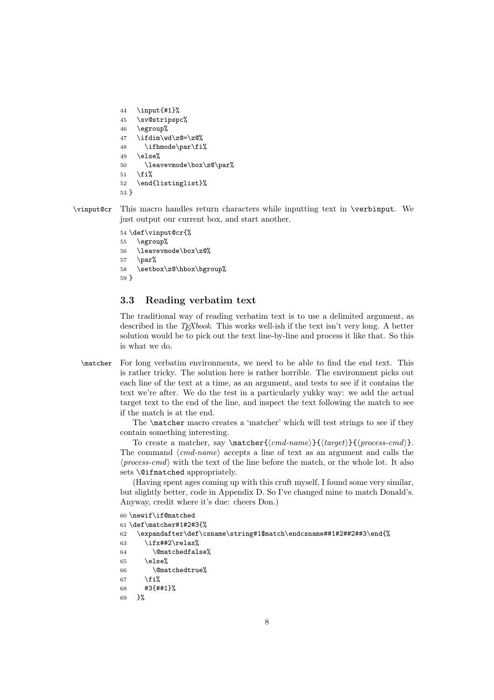```
44 \input{#1}%
45 \sv@stripspc%
46 \egroup%
47 \ifdim\wd\z@=\z@%
48 \ifhmode\par\fi%
49 \else%
50 \leavevmode\box\z@\par%
51 \quad \text{If } i%
52 \end{listinglist}%
53 }
```
\vinput@cr This macro handles return characters while inputting text in \verbinput. We just output our current box, and start another.

```
54 \def\vinput@cr{%
55 \egroup%
56 \leavevmode\box\z@%
57 \parrow58 \setbox\z@\hbox\bgroup%
59 }
```
#### 3.3 Reading verbatim text

The traditional way of reading verbatim text is to use a delimited argument, as described in the *TEXbook*. This works well-ish if the text isn't very long. A better solution would be to pick out the text line-by-line and process it like that. So this is what we do.

\matcher For long verbatim environments, we need to be able to find the end text. This is rather tricky. The solution here is rather horrible. The environment picks out each line of the text at a time, as an argument, and tests to see if it contains the text we're after. We do the test in a particularly yukky way: we add the actual target text to the end of the line, and inspect the text following the match to see if the match is at the end.

> The \matcher macro creates a 'matcher' which will test strings to see if they contain something interesting.

> To create a matcher, say \matcher{*cmd-name*}{*target*}{*process-cmd*}. The command  $\langle cmd\text{-}name \rangle$  accepts a line of text as an argument and calls the  $\langle process-cmd\rangle$  with the text of the line before the match, or the whole lot. It also sets \@ifmatched appropriately.

> (Having spent ages coming up with this cruft myself, I found some very similar, but slightly better, code in Appendix D. So I've changed mine to match Donald's. Anyway, credit where it's due: cheers Don.)

```
60 \newif\if@matched
61 \def\matcher#1#2#3{%
62 \expandafter\def\csname\string#1$match\endcsname##1#2##2##3\end{%
63 \ifx##2\relax%
64 \@matchedfalse%
65 \qquad \text{lels}else%
66 \@matchedtrue%
67 \{f_i\}68 #3{##1}%
69 }%
```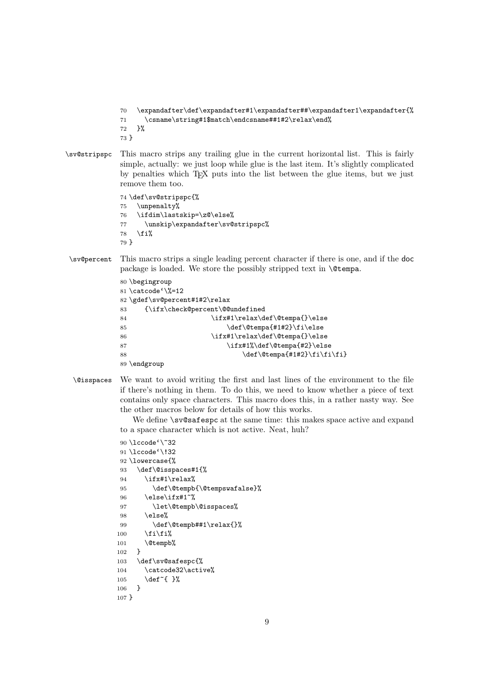```
70 \expandafter\def\expandafter#1\expandafter##\expandafter1\expandafter{%
\verb|71| \csname\strut\strut\star 1\$\text{match}\end\mathit{meth}+1\#2\relax\end\mathit{meth}72 }%
```
73 }

\sv@stripspc This macro strips any trailing glue in the current horizontal list. This is fairly simple, actually: we just loop while glue is the last item. It's slightly complicated by penalties which TEX puts into the list between the glue items, but we just remove them too.

```
74 \def\sv@stripspc{%
75 \unpenalty%
76 \ifdim\lastskip=\z@\else%
77 \unskip\expandafter\sv@stripspc%
78 \fi%
79 }
```
\sv@percent This macro strips a single leading percent character if there is one, and if the doc package is loaded. We store the possibly stripped text in \@tempa.

```
80 \begingroup
81 \catcode'\%=12
82 \gdef\sv@percent#1#2\relax
83 {\ifx\check@percent\@@undefined
84 \ifx#1\relax\def\@tempa{}\else
85 \def\@tempa{#1#2}\fi\else
86 \ifx#1\relax\def\@tempa{}\else
87 \times 1\% \def\\theta + \text{if}x \ddot{2} \elsc88 \def\@tempa{#1#2}\fi\fi\fi}
89 \endgroup
```
\@isspaces We want to avoid writing the first and last lines of the environment to the file if there's nothing in them. To do this, we need to know whether a piece of text contains only space characters. This macro does this, in a rather nasty way. See the other macros below for details of how this works.

> We define  $\succeq$  sv@safespc at the same time: this makes space active and expand to a space character which is not active. Neat, huh?

```
90 \lccode'\~32
91 \lccode'\!32
92 \lowercase{%
93 \def\@isspaces#1{%
94 \ifx#1\relax%
95 \def\@tempb{\@tempswafalse}%
96 \else\ifx#1<sup>~%</sup>
97 \let\@tempb\@isspaces%
98 \else%
99 \def\@tempb##1\relax{}%
100 \if{\i\{i\}}101 \@tempb%
102 }
103 \def\sv@safespc{%
104 \catcode32\active%
105 \def<sup>~{</sup> }%
106 }
107 }
```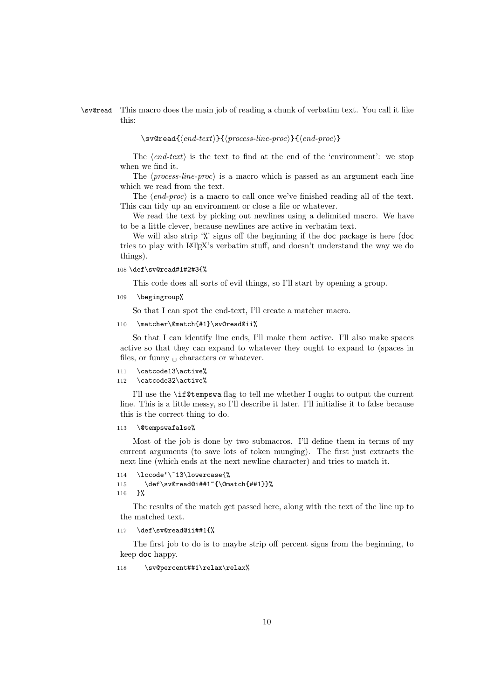#### \sv@read This macro does the main job of reading a chunk of verbatim text. You call it like this:

 $\setminus$ sv@read{*{end-text}*}{*{process-line-proc}*}{*{end-proc}*}

The  $\langle end\text{-}text\rangle$  is the text to find at the end of the 'environment': we stop when we find it.

The *(process-line-proc)* is a macro which is passed as an argument each line which we read from the text.

The *(end-proc)* is a macro to call once we've finished reading all of the text. This can tidy up an environment or close a file or whatever.

We read the text by picking out newlines using a delimited macro. We have to be a little clever, because newlines are active in verbatim text.

We will also strip '%' signs off the beginning if the doc package is here (doc tries to play with LATEX's verbatim stuff, and doesn't understand the way we do things).

108 \def\sv@read#1#2#3{%

This code does all sorts of evil things, so I'll start by opening a group.

109 \begingroup%

So that I can spot the end-text, I'll create a matcher macro.

110 \matcher\@match{#1}\sv@read@ii%

So that I can identify line ends, I'll make them active. I'll also make spaces active so that they can expand to whatever they ought to expand to (spaces in files, or funny  $\Box$  characters or whatever.

```
111 \catcode13\active%
```
112 \catcode32\active%

I'll use the \if@tempswa flag to tell me whether I ought to output the current line. This is a little messy, so I'll describe it later. I'll initialise it to false because this is the correct thing to do.

```
113 \@tempswafalse%
```
Most of the job is done by two submacros. I'll define them in terms of my current arguments (to save lots of token munging). The first just extracts the next line (which ends at the next newline character) and tries to match it.

```
114 \lccode'\~13\lowercase{%
115 \def\sv@read@i##1~{\@match{##1}}%
116 }%
```
The results of the match get passed here, along with the text of the line up to the matched text.

```
117 \def\sv@read@ii##1{%
```
The first job to do is to maybe strip off percent signs from the beginning, to keep doc happy.

118 \sv@percent##1\relax\relax%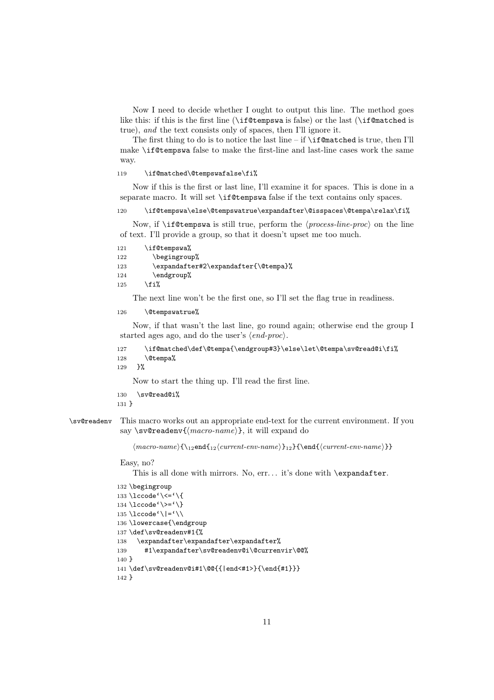Now I need to decide whether I ought to output this line. The method goes like this: if this is the first line (\if@tempswa is false) or the last (\if@matched is true), *and* the text consists only of spaces, then I'll ignore it.

The first thing to do is to notice the last line – if  $\ifmmode\bigwedge\else\;\:$  if Cmatched is true, then I'll make \if@tempswa false to make the first-line and last-line cases work the same way.

119 \if@matched\@tempswafalse\fi%

Now if this is the first or last line, I'll examine it for spaces. This is done in a separate macro. It will set \if@tempswa false if the text contains only spaces.

120 \if@tempswa\else\@tempswatrue\expandafter\@isspaces\@tempa\relax\fi%

Now, if  $\iint$ **exterst is still true**, perform the  $\langle process-line-proc \rangle$  on the line of text. I'll provide a group, so that it doesn't upset me too much.

```
121 \if@tempswa%
122 \begingroup%
123 \expandafter#2\expandafter{\@tempa}%
124 \endgroup%
125 \overline{125}
```
The next line won't be the first one, so I'll set the flag true in readiness.

```
126 \@tempswatrue%
```
Now, if that wasn't the last line, go round again; otherwise end the group I started ages ago, and do the user's  $\langle end\text{-}proc \rangle$ .

```
127 \if@matched\def\@tempa{\endgroup#3}\else\let\@tempa\sv@read@i\fi%
128 \@tempa%
129 }%
```
Now to start the thing up. I'll read the first line.

```
130 \sv@read@i%
```

```
131 }
```
\sv@readenv This macro works out an appropriate end-text for the current environment. If you say \sv@readenv{*macro-name*}, it will expand do

 $\langle$  *macro-name* $\{\_1 2\}$  *current-env-name* $\}_1$ } $\{\_current\-env\-name\}$ }

Easy, no?

This is all done with mirrors. No, err... it's done with \expandafter.

```
132 \begingroup
133 \lccode'\ \left\{\left\{\right\}134 \lceil \csc(1) \rceil135 \lccode'\|='\\
136 \lowercase{\endgroup
137 \def\sv@readenv#1{%
138 \expandafter\expandafter\expandafter%
139 #1\expandafter\sv@readenv@i\@currenvir\@@%
140 }
141 \def\sv@readenv@i#1\@@{{|end<#1>}{\end{#1}}}
142 }
```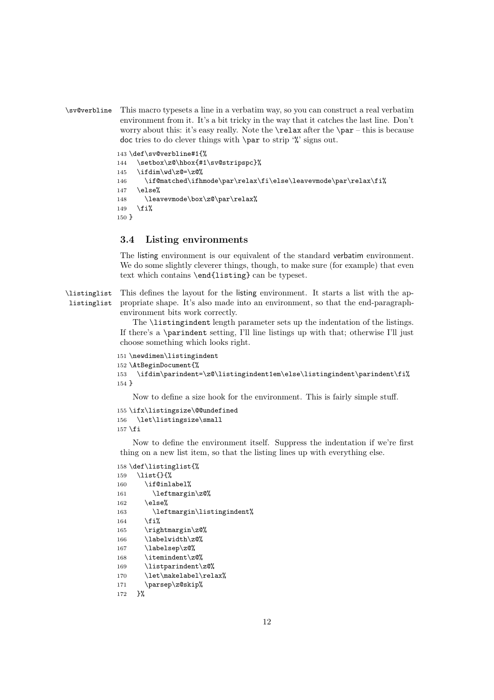\sv@verbline This macro typesets a line in a verbatim way, so you can construct a real verbatim environment from it. It's a bit tricky in the way that it catches the last line. Don't worry about this: it's easy really. Note the  $\relax$  after the  $\parrow$  – this is because doc tries to do clever things with  $\parrow$  to strip '%' signs out.

```
143 \def\sv@verbline#1{%
144 \setbox\z@\hbox{#1\sv@stripspc}%
145 \ifdim\wd\z@=\z@%
146 \if@matched\ifhmode\par\relax\fi\else\leavevmode\par\relax\fi%
147 \else%
148 \leavevmode\box\z@\par\relax%
149 \overline{149}150 }
```
### 3.4 Listing environments

The listing environment is our equivalent of the standard verbatim environment. We do some slightly cleverer things, though, to make sure (for example) that even text which contains \end{listing} can be typeset.

\listinglist listinglist This defines the layout for the listing environment. It starts a list with the appropriate shape. It's also made into an environment, so that the end-paragraphenvironment bits work correctly.

> The \listingindent length parameter sets up the indentation of the listings. If there's a \parindent setting, I'll line listings up with that; otherwise I'll just choose something which looks right.

```
151 \newdimen\listingindent
152 \AtBeginDocument{%
153 \ifdim\parindent=\z@\listingindent1em\else\listingindent\parindent\fi%
154 }
```
Now to define a size hook for the environment. This is fairly simple stuff.

```
155 \ifx\listingsize\@@undefined
156 \let\listingsize\small
157 \fi
```
Now to define the environment itself. Suppress the indentation if we're first thing on a new list item, so that the listing lines up with everything else.

```
158 \def\listinglist{%
159 \list{}{%
160 \if@inlabel%
161 \leftmargin\z@%
162 \else%
163 \leftmargin\listingindent%
164 \fi%
165 \rightmargin\z@%
166 \labelwidth\z@%
167 \labelsep\z@%
168 \itemindent\z@%
169 \listparindent\z@%
170 \let\makelabel\relax%
171 \parsep\z@skip%
172 }%
```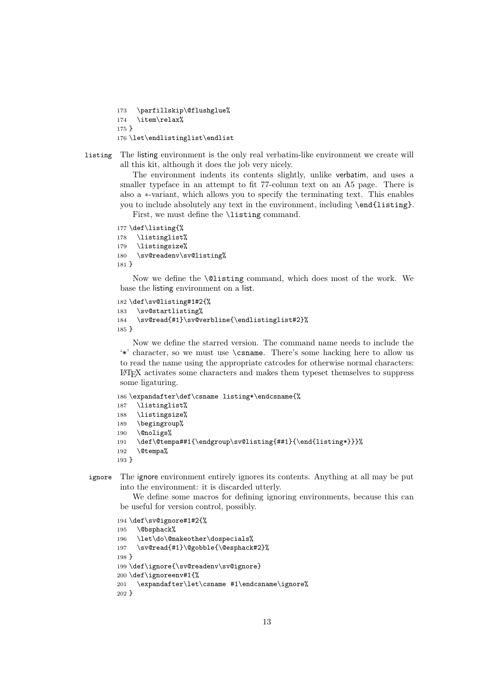\parfillskip\@flushglue% \item\relax% } \let\endlistinglist\endlist

listing The listing environment is the only real verbatim-like environment we create will all this kit, although it does the job very nicely.

> The environment indents its contents slightly, unlike verbatim, and uses a smaller typeface in an attempt to fit 77-column text on an A5 page. There is also a ∗-variant, which allows you to specify the terminating text. This enables you to include absolutely any text in the environment, including \end{listing}.

First, we must define the **\listing command**.

```
177 \def\listing{%
178 \listinglist%
179 \listingsize%
180 \sv@readenv\sv@listing%
181 }
```
Now we define the \@listing command, which does most of the work. We base the listing environment on a list.

```
182 \def\sv@listing#1#2{%
183 \sv@startlisting%
184 \sv@read{#1}\sv@verbline{\endlistinglist#2}%
185 }
```
Now we define the starred version. The command name needs to include the '\*' character, so we must use \csname. There's some hacking here to allow us to read the name using the appropriate catcodes for otherwise normal characters: LATEX activates some characters and makes them typeset themselves to suppress some ligaturing.

```
186 \expandafter\def\csname listing*\endcsname{%
187 \listinglist%
188 \listingsize%
189 \begingroup%
190 \@noligs%
191 \def\@tempa##1{\endgroup\sv@listing{##1}{\end{listing*}}}%
192 \@tempa%
193 }
```
ignore The ignore environment entirely ignores its contents. Anything at all may be put into the environment: it is discarded utterly.

We define some macros for defining ignoring environments, because this can be useful for version control, possibly.

```
194 \def\sv@ignore#1#2{%
195 \@bsphack%
196 \let\do\@makeother\dospecials%
197 \sv@read{#1}\@gobble{\@esphack#2}%
198 }
199 \def\ignore{\sv@readenv\sv@ignore}
200 \def\ignoreenv#1{%
201 \expandafter\let\csname #1\endcsname\ignore%
202 }
```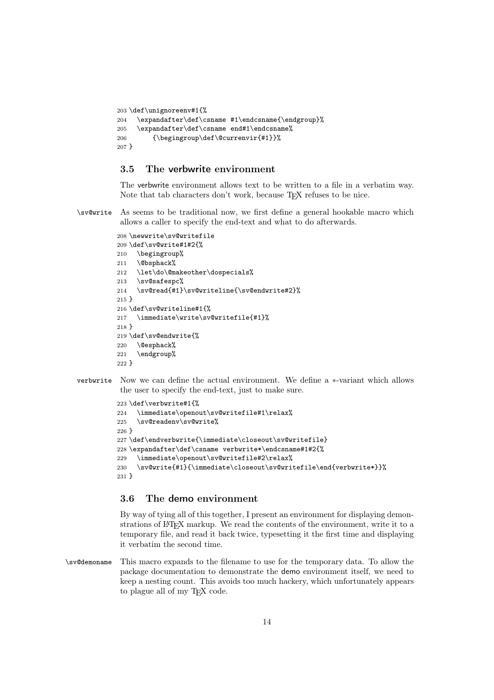```
203 \def\unignoreenv#1{%
204 \expandafter\def\csname #1\endcsname{\endgroup}%
205 \expandafter\def\csname end#1\endcsname%
206 {\begingroup\def\@currenvir{#1}}%
207 }
```
### 3.5 The verbwrite environment

The verbwrite environment allows text to be written to a file in a verbatim way. Note that tab characters don't work, because T<sub>E</sub>X refuses to be nice.

\sv@write As seems to be traditional now, we first define a general hookable macro which allows a caller to specify the end-text and what to do afterwards.

```
208 \newwrite\sv@writefile
209 \def\sv@write#1#2{%
210 \begingroup%
211 \@bsphack%
212 \let\do\@makeother\dospecials%
213 \sv@safespc%
214 \sv@read{#1}\sv@writeline{\sv@endwrite#2}%
215 }
216 \def\sv@writeline#1{%
217 \immediate\write\sv@writefile{#1}%
218 }
219 \def\sv@endwrite{%
220 \@esphack%
221 \endgroup%
222
```
verbwrite Now we can define the actual environment. We define a ∗-variant which allows the user to specify the end-text, just to make sure.

```
223 \def\verbwrite#1{%
224 \immediate\openout\sv@writefile#1\relax%
225 \sv@readenv\sv@write%
226 }
227 \def\endverbwrite{\immediate\closeout\sv@writefile}
228 \expandafter\def\csname verbwrite*\endcsname#1#2{%
229 \immediate\openout\sv@writefile#2\relax%
230 \sv@write{#1}{\immediate\closeout\sv@writefile\end{verbwrite*}}%
231 }
```
#### 3.6 The demo environment

By way of tying all of this together, I present an environment for displaying demonstrations of LATEX markup. We read the contents of the environment, write it to a temporary file, and read it back twice, typesetting it the first time and displaying it verbatim the second time.

\sv@demoname This macro expands to the filename to use for the temporary data. To allow the package documentation to demonstrate the demo environment itself, we need to keep a nesting count. This avoids too much hackery, which unfortunately appears to plague all of my T<sub>E</sub>X code.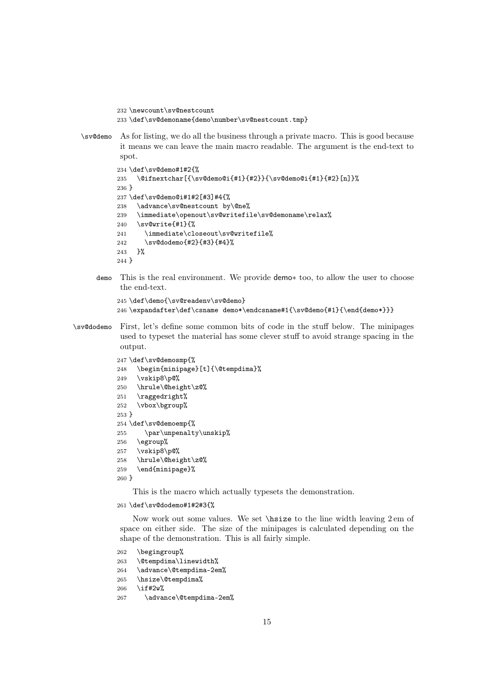\newcount\sv@nestcount \def\sv@demoname{demo\number\sv@nestcount.tmp}

\sv@demo As for listing, we do all the business through a private macro. This is good because it means we can leave the main macro readable. The argument is the end-text to spot.

```
234 \def\sv@demo#1#2{%
235 \@ifnextchar[{\sv@demo@i{#1}{#2}}{\sv@demo@i{#1}{#2}[n]}%
236 }
237 \def\sv@demo@i#1#2[#3]#4{%
238 \advance\sv@nestcount by\@ne%
239 \immediate\openout\sv@writefile\sv@demoname\relax%
240 \sv@write{#1}{%
241 \immediate\closeout\sv@writefile%
242 \sv@dodemo{#2}{#3}{#4}%
243 }%
244 }
```
demo This is the real environment. We provide demo∗ too, to allow the user to choose the end-text.

```
245 \def\demo{\sv@readenv\sv@demo}
246 \expandafter\def\csname demo*\endcsname#1{\sv@demo{#1}{\end{demo*}}}
```
\sv@dodemo First, let's define some common bits of code in the stuff below. The minipages used to typeset the material has some clever stuff to avoid strange spacing in the output.

```
247 \def\sv@demosmp{%
248 \begin{minipage}[t]{\@tempdima}%
249 \vskip8\p@%
250 \hrule\@height\z@%
251 \raggedright%
252 \vbox\bgroup%
253 }
254 \def\sv@demoemp{%
255 \par\unpenalty\unskip%
256 \egroup%
257 \vskip8\p@%
258 \hrule\@height\z@%
259 \end{minipage}%
260 }
```
This is the macro which actually typesets the demonstration.

\def\sv@dodemo#1#2#3{%

Now work out some values. We set \hsize to the line width leaving 2 em of space on either side. The size of the minipages is calculated depending on the shape of the demonstration. This is all fairly simple.

 \begingroup% \@tempdima\linewidth% \advance\@tempdima-2em% \hsize\@tempdima% \if#2w% 267 \advance\@tempdima-2em%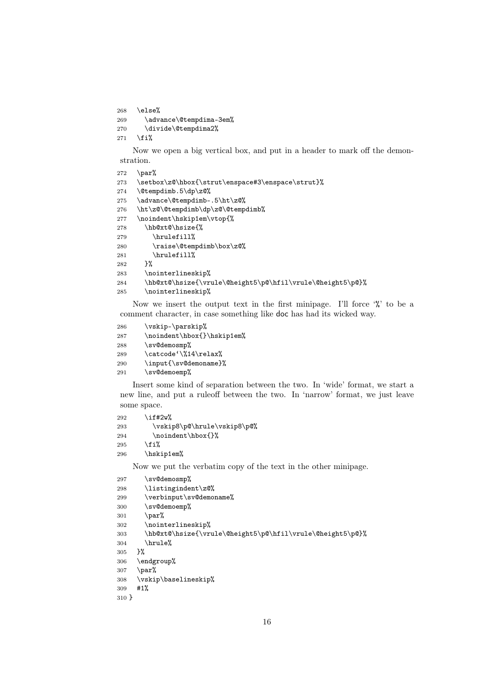\else% 269 \advance\@tempdima-3em% 270 \divide\@tempdima2%

271  $\ifmmode \big\vert \else$  271 \fi%

Now we open a big vertical box, and put in a header to mark off the demonstration.

```
272 \par%
273 \setbox\z@\hbox{\strut\enspace#3\enspace\strut}%
274 \@tempdimb.5\dp\z@%
275 \advance\@tempdimb-.5\ht\z@%
276 \ht\z@\@tempdimb\dp\z@\@tempdimb%
277 \noindent\hskip1em\vtop{%
278 \hb@xt@\hsize{%
279 \hrulefill%
280 \raise\@tempdimb\box\z@%
281 \hrulefill% 282 }%
282
283 \nointerlineskip%
284 \hb@xt@\hsize{\vrule\@height5\p@\hfil\vrule\@height5\p@}%
285 \nointerlineskip%
```
Now we insert the output text in the first minipage. I'll force  $\mathcal{C}'$  to be a comment character, in case something like doc has had its wicked way.

```
286 \vskip-\parskip%
287 \noindent\hbox{}\hskip1em%
288 \sv@demosmp%
289 \catcode'\%14\relax%
290 \input{\sv@demoname}%
291 \sv@demoemp%
```
Insert some kind of separation between the two. In 'wide' format, we start a new line, and put a ruleoff between the two. In 'narrow' format, we just leave some space.

| 292 | \if#2w%                     |
|-----|-----------------------------|
| 293 | \vskip8\p@\hrule\vskip8\p@% |
| 294 | \noindent\hbox{}%           |
| 295 | \fi%                        |
| 296 | \hskip1em%                  |

Now we put the verbatim copy of the text in the other minipage.

```
297 \sv@demosmp%
298 \listingindent\z@%
299 \verbinput\sv@demoname%
300 \sv@demoemp%
301 \par%
302 \nointerlineskip%
303 \hb@xt@\hsize{\vrule\@height5\p@\hfil\vrule\@height5\p@}%
304 \hrule%
305 }%
306 \endgroup%
307 \par%
308 \vskip\baselineskip%
309 #1%
310 }
```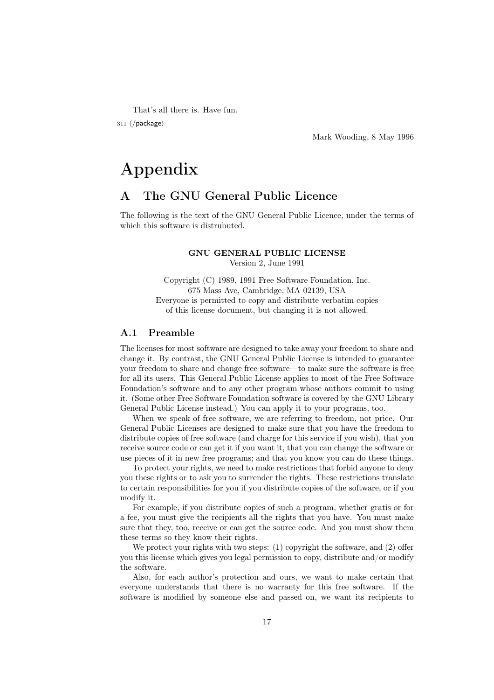That's all there is. Have fun.

311  $\langle$ /package $\rangle$ 

Mark Wooding, 8 May 1996

# Appendix

# A The GNU General Public Licence

The following is the text of the GNU General Public Licence, under the terms of which this software is distrubuted.

#### GNU GENERAL PUBLIC LICENSE Version 2, June 1991

Copyright (C) 1989, 1991 Free Software Foundation, Inc. 675 Mass Ave, Cambridge, MA 02139, USA Everyone is permitted to copy and distribute verbatim copies of this license document, but changing it is not allowed.

## A.1 Preamble

The licenses for most software are designed to take away your freedom to share and change it. By contrast, the GNU General Public License is intended to guarantee your freedom to share and change free software—to make sure the software is free for all its users. This General Public License applies to most of the Free Software Foundation's software and to any other program whose authors commit to using it. (Some other Free Software Foundation software is covered by the GNU Library General Public License instead.) You can apply it to your programs, too.

When we speak of free software, we are referring to freedom, not price. Our General Public Licenses are designed to make sure that you have the freedom to distribute copies of free software (and charge for this service if you wish), that you receive source code or can get it if you want it, that you can change the software or use pieces of it in new free programs; and that you know you can do these things.

To protect your rights, we need to make restrictions that forbid anyone to deny you these rights or to ask you to surrender the rights. These restrictions translate to certain responsibilities for you if you distribute copies of the software, or if you modify it.

For example, if you distribute copies of such a program, whether gratis or for a fee, you must give the recipients all the rights that you have. You must make sure that they, too, receive or can get the source code. And you must show them these terms so they know their rights.

We protect your rights with two steps: (1) copyright the software, and (2) offer you this license which gives you legal permission to copy, distribute and/or modify the software.

Also, for each author's protection and ours, we want to make certain that everyone understands that there is no warranty for this free software. If the software is modified by someone else and passed on, we want its recipients to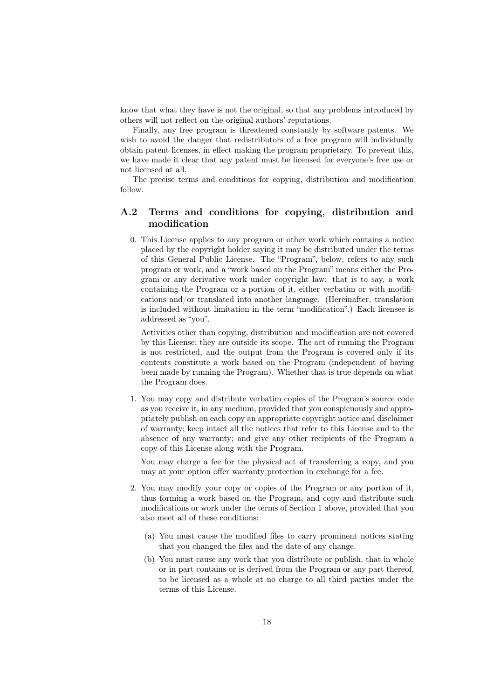know that what they have is not the original, so that any problems introduced by others will not reflect on the original authors' reputations.

Finally, any free program is threatened constantly by software patents. We wish to avoid the danger that redistributors of a free program will individually obtain patent licenses, in effect making the program proprietary. To prevent this, we have made it clear that any patent must be licensed for everyone's free use or not licensed at all.

The precise terms and conditions for copying, distribution and modification follow.

# A.2 Terms and conditions for copying, distribution and modification

0. This License applies to any program or other work which contains a notice placed by the copyright holder saying it may be distributed under the terms of this General Public License. The "Program", below, refers to any such program or work, and a "work based on the Program" means either the Program or any derivative work under copyright law: that is to say, a work containing the Program or a portion of it, either verbatim or with modifications and/or translated into another language. (Hereinafter, translation is included without limitation in the term "modification".) Each licensee is addressed as "you".

Activities other than copying, distribution and modification are not covered by this License; they are outside its scope. The act of running the Program is not restricted, and the output from the Program is covered only if its contents constitute a work based on the Program (independent of having been made by running the Program). Whether that is true depends on what the Program does.

1. You may copy and distribute verbatim copies of the Program's source code as you receive it, in any medium, provided that you conspicuously and appropriately publish on each copy an appropriate copyright notice and disclaimer of warranty; keep intact all the notices that refer to this License and to the absence of any warranty; and give any other recipients of the Program a copy of this License along with the Program.

You may charge a fee for the physical act of transferring a copy, and you may at your option offer warranty protection in exchange for a fee.

- 2. You may modify your copy or copies of the Program or any portion of it, thus forming a work based on the Program, and copy and distribute such modifications or work under the terms of Section 1 above, provided that you also meet all of these conditions:
	- (a) You must cause the modified files to carry prominent notices stating that you changed the files and the date of any change.
	- (b) You must cause any work that you distribute or publish, that in whole or in part contains or is derived from the Program or any part thereof, to be licensed as a whole at no charge to all third parties under the terms of this License.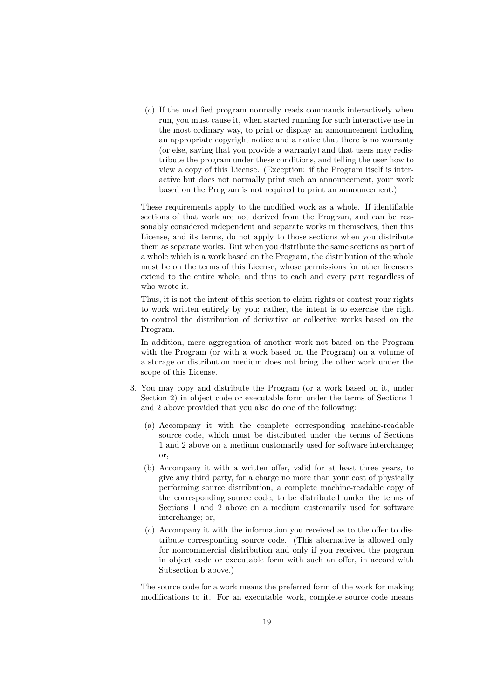(c) If the modified program normally reads commands interactively when run, you must cause it, when started running for such interactive use in the most ordinary way, to print or display an announcement including an appropriate copyright notice and a notice that there is no warranty (or else, saying that you provide a warranty) and that users may redistribute the program under these conditions, and telling the user how to view a copy of this License. (Exception: if the Program itself is interactive but does not normally print such an announcement, your work based on the Program is not required to print an announcement.)

These requirements apply to the modified work as a whole. If identifiable sections of that work are not derived from the Program, and can be reasonably considered independent and separate works in themselves, then this License, and its terms, do not apply to those sections when you distribute them as separate works. But when you distribute the same sections as part of a whole which is a work based on the Program, the distribution of the whole must be on the terms of this License, whose permissions for other licensees extend to the entire whole, and thus to each and every part regardless of who wrote it.

Thus, it is not the intent of this section to claim rights or contest your rights to work written entirely by you; rather, the intent is to exercise the right to control the distribution of derivative or collective works based on the Program.

In addition, mere aggregation of another work not based on the Program with the Program (or with a work based on the Program) on a volume of a storage or distribution medium does not bring the other work under the scope of this License.

- 3. You may copy and distribute the Program (or a work based on it, under Section 2) in object code or executable form under the terms of Sections 1 and 2 above provided that you also do one of the following:
	- (a) Accompany it with the complete corresponding machine-readable source code, which must be distributed under the terms of Sections 1 and 2 above on a medium customarily used for software interchange;  $\alpha$ r
	- (b) Accompany it with a written offer, valid for at least three years, to give any third party, for a charge no more than your cost of physically performing source distribution, a complete machine-readable copy of the corresponding source code, to be distributed under the terms of Sections 1 and 2 above on a medium customarily used for software interchange; or,
	- (c) Accompany it with the information you received as to the offer to distribute corresponding source code. (This alternative is allowed only for noncommercial distribution and only if you received the program in object code or executable form with such an offer, in accord with Subsection b above.)

The source code for a work means the preferred form of the work for making modifications to it. For an executable work, complete source code means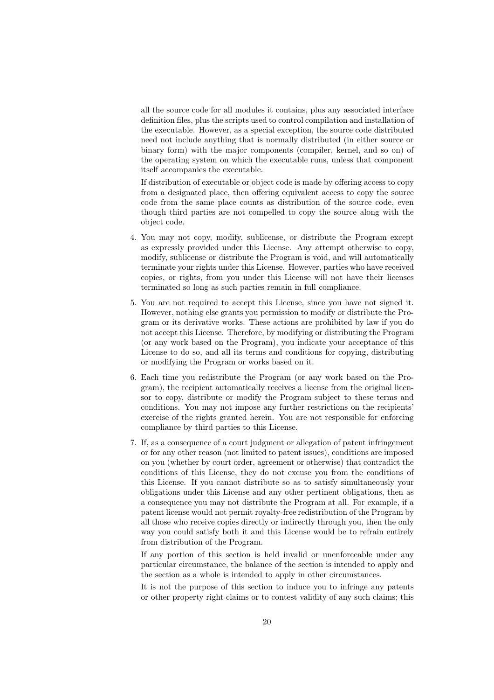all the source code for all modules it contains, plus any associated interface definition files, plus the scripts used to control compilation and installation of the executable. However, as a special exception, the source code distributed need not include anything that is normally distributed (in either source or binary form) with the major components (compiler, kernel, and so on) of the operating system on which the executable runs, unless that component itself accompanies the executable.

If distribution of executable or object code is made by offering access to copy from a designated place, then offering equivalent access to copy the source code from the same place counts as distribution of the source code, even though third parties are not compelled to copy the source along with the object code.

- 4. You may not copy, modify, sublicense, or distribute the Program except as expressly provided under this License. Any attempt otherwise to copy, modify, sublicense or distribute the Program is void, and will automatically terminate your rights under this License. However, parties who have received copies, or rights, from you under this License will not have their licenses terminated so long as such parties remain in full compliance.
- 5. You are not required to accept this License, since you have not signed it. However, nothing else grants you permission to modify or distribute the Program or its derivative works. These actions are prohibited by law if you do not accept this License. Therefore, by modifying or distributing the Program (or any work based on the Program), you indicate your acceptance of this License to do so, and all its terms and conditions for copying, distributing or modifying the Program or works based on it.
- 6. Each time you redistribute the Program (or any work based on the Program), the recipient automatically receives a license from the original licensor to copy, distribute or modify the Program subject to these terms and conditions. You may not impose any further restrictions on the recipients' exercise of the rights granted herein. You are not responsible for enforcing compliance by third parties to this License.
- 7. If, as a consequence of a court judgment or allegation of patent infringement or for any other reason (not limited to patent issues), conditions are imposed on you (whether by court order, agreement or otherwise) that contradict the conditions of this License, they do not excuse you from the conditions of this License. If you cannot distribute so as to satisfy simultaneously your obligations under this License and any other pertinent obligations, then as a consequence you may not distribute the Program at all. For example, if a patent license would not permit royalty-free redistribution of the Program by all those who receive copies directly or indirectly through you, then the only way you could satisfy both it and this License would be to refrain entirely from distribution of the Program.

If any portion of this section is held invalid or unenforceable under any particular circumstance, the balance of the section is intended to apply and the section as a whole is intended to apply in other circumstances.

It is not the purpose of this section to induce you to infringe any patents or other property right claims or to contest validity of any such claims; this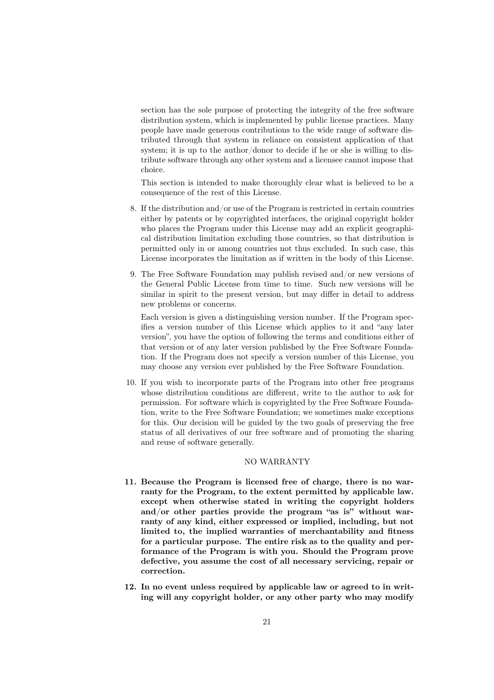section has the sole purpose of protecting the integrity of the free software distribution system, which is implemented by public license practices. Many people have made generous contributions to the wide range of software distributed through that system in reliance on consistent application of that system; it is up to the author/donor to decide if he or she is willing to distribute software through any other system and a licensee cannot impose that choice.

This section is intended to make thoroughly clear what is believed to be a consequence of the rest of this License.

- 8. If the distribution and/or use of the Program is restricted in certain countries either by patents or by copyrighted interfaces, the original copyright holder who places the Program under this License may add an explicit geographical distribution limitation excluding those countries, so that distribution is permitted only in or among countries not thus excluded. In such case, this License incorporates the limitation as if written in the body of this License.
- 9. The Free Software Foundation may publish revised and/or new versions of the General Public License from time to time. Such new versions will be similar in spirit to the present version, but may differ in detail to address new problems or concerns.

Each version is given a distinguishing version number. If the Program specifies a version number of this License which applies to it and "any later version", you have the option of following the terms and conditions either of that version or of any later version published by the Free Software Foundation. If the Program does not specify a version number of this License, you may choose any version ever published by the Free Software Foundation.

10. If you wish to incorporate parts of the Program into other free programs whose distribution conditions are different, write to the author to ask for permission. For software which is copyrighted by the Free Software Foundation, write to the Free Software Foundation; we sometimes make exceptions for this. Our decision will be guided by the two goals of preserving the free status of all derivatives of our free software and of promoting the sharing and reuse of software generally.

#### NO WARRANTY

- 11. Because the Program is licensed free of charge, there is no warranty for the Program, to the extent permitted by applicable law. except when otherwise stated in writing the copyright holders and/or other parties provide the program "as is" without warranty of any kind, either expressed or implied, including, but not limited to, the implied warranties of merchantability and fitness for a particular purpose. The entire risk as to the quality and performance of the Program is with you. Should the Program prove defective, you assume the cost of all necessary servicing, repair or correction.
- 12. In no event unless required by applicable law or agreed to in writing will any copyright holder, or any other party who may modify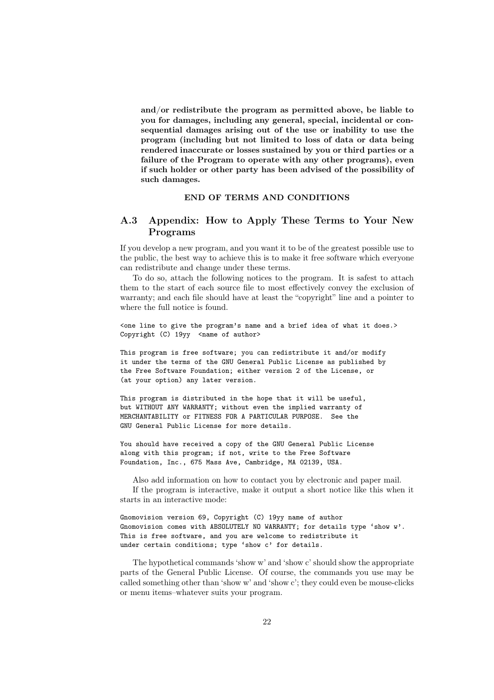and/or redistribute the program as permitted above, be liable to you for damages, including any general, special, incidental or consequential damages arising out of the use or inability to use the program (including but not limited to loss of data or data being rendered inaccurate or losses sustained by you or third parties or a failure of the Program to operate with any other programs), even if such holder or other party has been advised of the possibility of such damages.

#### END OF TERMS AND CONDITIONS

# A.3 Appendix: How to Apply These Terms to Your New Programs

If you develop a new program, and you want it to be of the greatest possible use to the public, the best way to achieve this is to make it free software which everyone can redistribute and change under these terms.

To do so, attach the following notices to the program. It is safest to attach them to the start of each source file to most effectively convey the exclusion of warranty; and each file should have at least the "copyright" line and a pointer to where the full notice is found.

<one line to give the program's name and a brief idea of what it does.> Copyright (C)  $19yy$  <name of author>

This program is free software; you can redistribute it and/or modify it under the terms of the GNU General Public License as published by the Free Software Foundation; either version 2 of the License, or (at your option) any later version.

This program is distributed in the hope that it will be useful, but WITHOUT ANY WARRANTY; without even the implied warranty of MERCHANTABILITY or FITNESS FOR A PARTICULAR PURPOSE. See the GNU General Public License for more details.

You should have received a copy of the GNU General Public License along with this program; if not, write to the Free Software Foundation, Inc., 675 Mass Ave, Cambridge, MA 02139, USA.

Also add information on how to contact you by electronic and paper mail. If the program is interactive, make it output a short notice like this when it starts in an interactive mode:

Gnomovision version 69, Copyright (C) 19yy name of author Gnomovision comes with ABSOLUTELY NO WARRANTY; for details type 'show w'. This is free software, and you are welcome to redistribute it under certain conditions; type 'show c' for details.

The hypothetical commands 'show w' and 'show c' should show the appropriate parts of the General Public License. Of course, the commands you use may be called something other than 'show w' and 'show c'; they could even be mouse-clicks or menu items–whatever suits your program.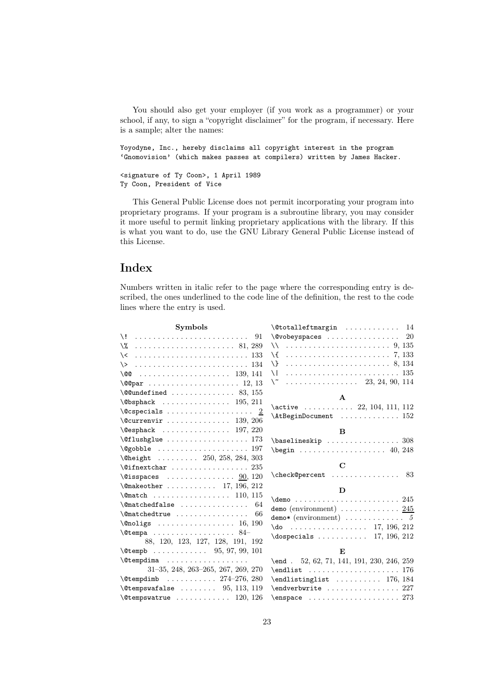You should also get your employer (if you work as a programmer) or your school, if any, to sign a "copyright disclaimer" for the program, if necessary. Here is a sample; alter the names:

Yoyodyne, Inc., hereby disclaims all copyright interest in the program 'Gnomovision' (which makes passes at compilers) written by James Hacker.

```
<signature of Ty Coon>, 1 April 1989
Ty Coon, President of Vice
```
This General Public License does not permit incorporating your program into proprietary programs. If your program is a subroutine library, you may consider it more useful to permit linking proprietary applications with the library. If this is what you want to do, use the GNU Library General Public License instead of this License.

# Index

Numbers written in italic refer to the page where the corresponding entry is described, the ones underlined to the code line of the definition, the rest to the code lines where the entry is used.

| <b>Symbols</b>                                                   | $\setminus$ Ctotalleftmargin  14                                            |
|------------------------------------------------------------------|-----------------------------------------------------------------------------|
|                                                                  | $\sqrt{$ wobeyspaces  20                                                    |
|                                                                  |                                                                             |
| $\setminus$ <  133                                               | \{  7, 133                                                                  |
|                                                                  |                                                                             |
| \@@                                                              | \   135                                                                     |
| $\qquad$ (COpar  12, 13                                          | $\setminus$ 23, 24, 90, 114                                                 |
| $\text{Qundefined}$ 83, 155                                      |                                                                             |
| $\Theta$ sphack  195, 211                                        | $\mathbf{A}$                                                                |
| $\text{Qcspecies} \ldots \ldots \ldots \ldots \quad \frac{2}{2}$ | $\text{active}$ 22, 104, 111, 112                                           |
| $\&$ Currenvir  139, 206                                         | $\Lambda t$ BeginDocument  152                                              |
| $\text{Qesphack} \dots \dots \dots \dots \dots \quad 197, 220$   | B                                                                           |
| $\text{Oflushglue} \dots \dots \dots \dots \dots \ 173$          | $\b{baselineskip    308}$                                                   |
| $\qquad$                                                         | $\begin{array}{ccc}\n\text{begin} 1, & \text{10} & \text{248}\n\end{array}$ |
| $\Delta$ 250, 258, 284, 303                                      |                                                                             |
| $\sqrt{q}$ ifnextchar  235                                       | $\mathbf C$                                                                 |
| $\text{Qisspaces} \dots \dots \dots \dots \dots \ 90, 120$       | $\check{C}$ heck@percent 83                                                 |
| $\{\n$ emakeother  17, 196, 212                                  | D                                                                           |
| $\{\text{Omatch} \dots \dots \dots \dots \dots \quad 110, 115\}$ |                                                                             |
| $\{\mathsf{Comatched false} \dots \dots \dots \dots \ 64$        | demo (environment) $\ldots \ldots \ldots \ldots \frac{245}{245}$            |
| $\{\mathsf{Comatchedtrue} \dots \dots \dots \dots \ 66$          | demo* (environment) $\ldots \ldots \ldots \ldots$ 5                         |
|                                                                  | $\{do \ldots \ldots \ldots \ldots 17, 196, 212\}$                           |
| $\text{C}$ tempa  84-                                            | $\text{logpecials}$ 17, 196, 212                                            |
| 88, 120, 123, 127, 128, 191, 192                                 |                                                                             |
| $\text{Ctempb}$ 95, 97, 99, 101                                  | E                                                                           |
|                                                                  | \end $. 52, 62, 71, 141, 191, 230, 246, 259$                                |
| $31-35, 248, 263-265, 267, 269, 270$                             |                                                                             |
| $\text{Ctempdim}$ 274-276, 280                                   | $\end{listinglist  \dots 176, 184$                                          |
| $\text{Ctempswafalse}$ 95, 113, 119                              | $\end{iverbwrite     227$                                                   |
| $\text{C}$ tempswatrue  120, 126                                 |                                                                             |
|                                                                  |                                                                             |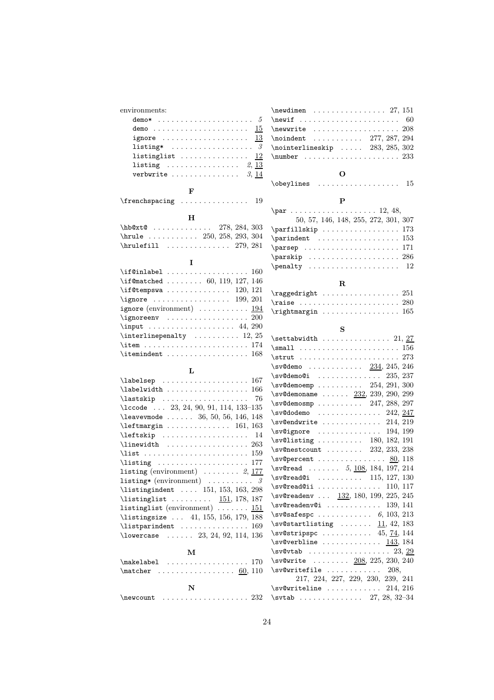| environments:                                                                                                                                                                                                                                                                                               | $\neq$ 151                                                         |
|-------------------------------------------------------------------------------------------------------------------------------------------------------------------------------------------------------------------------------------------------------------------------------------------------------------|--------------------------------------------------------------------|
|                                                                                                                                                                                                                                                                                                             |                                                                    |
| demo $15$                                                                                                                                                                                                                                                                                                   | $\text{newwrite}$ 208                                              |
| ignore $\dots \dots \dots \dots \dots \dots \dots \frac{13}{2}$                                                                                                                                                                                                                                             |                                                                    |
| listing* $\ldots \ldots \ldots \ldots \ldots$                                                                                                                                                                                                                                                               | $\no$ interlineskip  283, 285, 302                                 |
| listinglist $12$                                                                                                                                                                                                                                                                                            |                                                                    |
| listing $2, 13$                                                                                                                                                                                                                                                                                             |                                                                    |
| verbwrite $\ldots \ldots \ldots \ldots \ldots$ 3, 14                                                                                                                                                                                                                                                        | О                                                                  |
|                                                                                                                                                                                                                                                                                                             | $\begin{matrix} \text{obsylines} & \text{} & 15 \end{matrix}$      |
| F                                                                                                                                                                                                                                                                                                           |                                                                    |
| $\frac{19}{3}$                                                                                                                                                                                                                                                                                              | P                                                                  |
| н                                                                                                                                                                                                                                                                                                           |                                                                    |
| $h$ b@xt@  278, 284, 303                                                                                                                                                                                                                                                                                    | 50, 57, 146, 148, 255, 272, 301, 307                               |
| \hrule $\ldots \ldots \ldots$ 250, 258, 293, 304                                                                                                                                                                                                                                                            | $\partial : \ldots \ldots \ldots \ldots 173$                       |
| $\h\nu\leftarrow 279, 281$                                                                                                                                                                                                                                                                                  | $\partial$ .                                                       |
|                                                                                                                                                                                                                                                                                                             | \parsep  171                                                       |
| I                                                                                                                                                                                                                                                                                                           | $\sqrt{286}$                                                       |
|                                                                                                                                                                                                                                                                                                             | $\penalty$ 12                                                      |
| \if@matched  60, 119, 127, 146                                                                                                                                                                                                                                                                              |                                                                    |
| $\iint@tempswa  \ldots  \ldots 120, 121$                                                                                                                                                                                                                                                                    | R                                                                  |
| \ignore $\ldots \ldots \ldots \ldots 199, 201$                                                                                                                                                                                                                                                              | $\{ragger n t \ldots r \ldots r 251$                               |
| ignore (environment) $\dots \dots \dots \dots$ 194                                                                                                                                                                                                                                                          |                                                                    |
|                                                                                                                                                                                                                                                                                                             |                                                                    |
| $\infty$ 44, 290                                                                                                                                                                                                                                                                                            | S                                                                  |
| $\int \mathbb{R}^2$ 12, 25                                                                                                                                                                                                                                                                                  | $\setminus$ settabwidth  21, 27                                    |
| $\item$ 174                                                                                                                                                                                                                                                                                                 | $\small{\texttt{small} \dots \dots \dots \dots \dots \dots \ 156}$ |
|                                                                                                                                                                                                                                                                                                             | $\text{trut} \ldots \ldots \ldots \ldots 273$                      |
|                                                                                                                                                                                                                                                                                                             | $\sqrt{s}$ v@demo  234, 245, 246                                   |
| L                                                                                                                                                                                                                                                                                                           | $\sqrt{s}$ v@demo@i  235, 237                                      |
| $\lambda$ abelsep 167                                                                                                                                                                                                                                                                                       | $\sqrt{s}$ v@demoemp  254, 291, 300                                |
| $\lambda$ abelwidth  166                                                                                                                                                                                                                                                                                    | $\sqrt{s}$ v@demoname $232, 239, 290, 299$                         |
| $\lambda$ iastskip  76                                                                                                                                                                                                                                                                                      | $\sqrt{s}$ v@demosmp  247, 288, 297                                |
| $\text{lccode} \dots 23, 24, 90, 91, 114, 133-135$                                                                                                                                                                                                                                                          | $\sqrt{s}$ v@dodemo  242, 247                                      |
| $\text{leavevmode} \dots 36, 50, 56, 146, 148$                                                                                                                                                                                                                                                              | $\sqrt{214}$ , 219                                                 |
| $\left\{\texttt{learningin} \dots \dots \dots \quad 161, 163\right\}$                                                                                                                                                                                                                                       | $\sqrt{s}$ v@ignore  194, 199                                      |
| $\left\{ \text{leftskip} \dots \dots \dots \dots \right. 14 \right.$                                                                                                                                                                                                                                        | $\sqrt{8}$ \sv@listing  180, 182, 191                              |
| $\{\text{linewidth} \dots \dots \dots \dots \dots \ 263\}$                                                                                                                                                                                                                                                  | $\sqrt{s}$ v@nestcount  232, 233, 238                              |
| $\texttt{list} \dots \dots \dots \dots \dots \dots \dots \dots \dots \dots \dots$                                                                                                                                                                                                                           | $\sveQ$ percent  80, 118                                           |
| $\left\{ \right. \left\{ \right. \left\{ \right. \left. \right. \left. \right. \left. \right. \left. \right. \left. \right. \left. \right. \left. \right. \left. \right. \right. \left. \right. \right. \left. \right. \right. \left. \left. \right. \right. \left. \right. \right. \left. \right. \right.$ | \sv@read $5, \underline{108}, 184, 197, 214$                       |
| listing (environment) $\ldots \ldots \ldots 2, 177$<br>listing* (environment) $\ldots \ldots \ldots$ 3                                                                                                                                                                                                      | $\sqrt{s}$ v@read@i  115, 127, 130                                 |
| $\text{listingindent } \dots \quad 151, 153, 163, 298$                                                                                                                                                                                                                                                      | $\sqrt{s}$ v@read@ii  110, 117                                     |
| \listinglist <u>151</u> ,178,187                                                                                                                                                                                                                                                                            | $\sqrt{s}$ v@readenv $132, 180, 199, 225, 245$                     |
| listinglist (environment) $\ldots \ldots \ldots$ 151                                                                                                                                                                                                                                                        | $\sqrt{s}$ v@readenv@i  139, 141                                   |
| \listingsize  41, 155, 156, 179, 188                                                                                                                                                                                                                                                                        |                                                                    |
| $\text{listparindent} \dots \dots \dots \dots \ 169$                                                                                                                                                                                                                                                        | $\sqrt{s}$ v@startlisting  11, 42, 183                             |
| \lowercase $\ldots$ 23, 24, 92, 114, 136                                                                                                                                                                                                                                                                    | $\sqrt{s}$ v@stripspc 45, 74, 144                                  |
|                                                                                                                                                                                                                                                                                                             | $\sqrt{s}$ v@verbline <u>143</u> , 184                             |
| м                                                                                                                                                                                                                                                                                                           | $\sqrt{s}$ v@vtab  23, 29                                          |
|                                                                                                                                                                                                                                                                                                             | \sv@write $208, 225, 230, 240$                                     |
|                                                                                                                                                                                                                                                                                                             | $\sqrt{s}$ /sv@writefile  208,                                     |
|                                                                                                                                                                                                                                                                                                             | 217, 224, 227, 229, 230, 239, 241                                  |
| N                                                                                                                                                                                                                                                                                                           | $\sqrt{214}$ , 216                                                 |
| $\neq$ $232$                                                                                                                                                                                                                                                                                                | $\sqrt{27, 28, 32-34}$                                             |